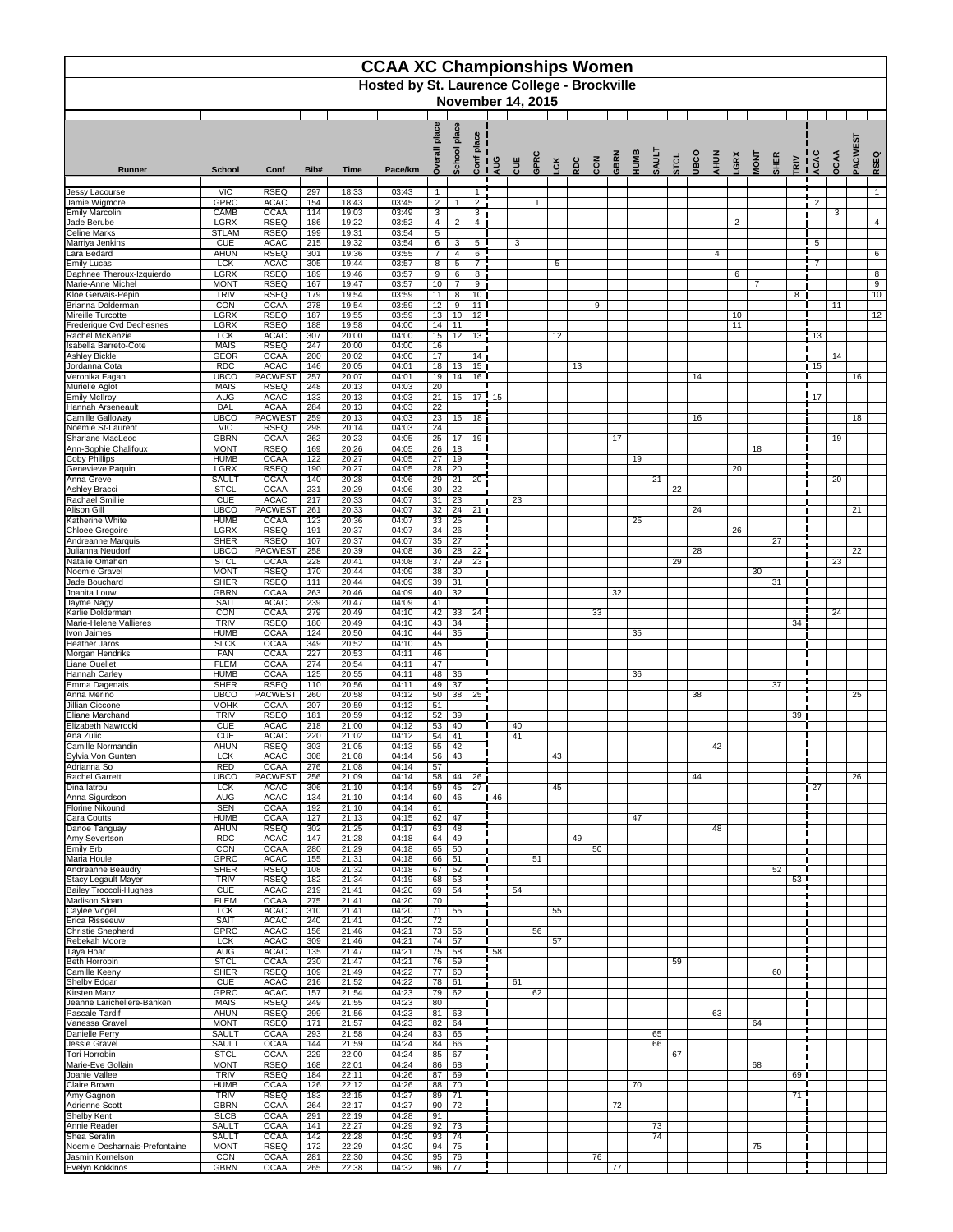|                                                        |                                                                                |                                    |                                      |                | <b>CCAA XC Championships Women</b> |                                    |                                    |                       |     |          |                |           |     |     |      |      |              |      |      |      |                |                |             |                 |                 |             |         |                      |
|--------------------------------------------------------|--------------------------------------------------------------------------------|------------------------------------|--------------------------------------|----------------|------------------------------------|------------------------------------|------------------------------------|-----------------------|-----|----------|----------------|-----------|-----|-----|------|------|--------------|------|------|------|----------------|----------------|-------------|-----------------|-----------------|-------------|---------|----------------------|
|                                                        | <b>Hosted by St. Laurence College - Brockville</b><br><b>November 14, 2015</b> |                                    |                                      |                |                                    |                                    |                                    |                       |     |          |                |           |     |     |      |      |              |      |      |      |                |                |             |                 |                 |             |         |                      |
|                                                        |                                                                                |                                    |                                      |                |                                    |                                    |                                    |                       |     |          |                |           |     |     |      |      |              |      |      |      |                |                |             |                 |                 |             |         |                      |
|                                                        |                                                                                |                                    |                                      |                |                                    |                                    | place                              |                       |     |          |                |           |     |     |      |      |              |      |      |      |                |                |             |                 |                 |             |         |                      |
|                                                        |                                                                                |                                    |                                      |                |                                    |                                    | <b>School</b>                      | <u>0.</u>             |     |          |                | <b>CK</b> |     |     | GBRN | HUMB | <b>TIUAS</b> | STCL | UBCO | AHUN | GRX            | <b>MONT</b>    | <b>SHER</b> |                 | LCAC            | <b>OCAA</b> | PACWEST | RSEQ                 |
| Runner                                                 | <b>School</b>                                                                  | Conf                               | Bib#                                 | <b>Time</b>    | Pace/km                            | Ó                                  |                                    | Conf                  | AUG | CUE      | GPR            |           | RDC | CON |      |      |              |      |      |      |                |                |             | TRIV            |                 |             |         |                      |
| Jessy Lacourse<br>Jamie Wigmore                        | <b>VIC</b><br><b>GPRC</b>                                                      | <b>RSEQ</b><br><b>ACAC</b>         | 297<br>154                           | 18:33<br>18:43 | 03:43<br>03:45                     | $\mathbf{1}$<br>$\overline{2}$     | $\overline{1}$                     | $\overline{2}$        |     |          | $\overline{1}$ |           |     |     |      |      |              |      |      |      |                |                |             |                 | $\overline{2}$  |             |         | $\mathbf{1}$         |
| <b>Emily Marcolini</b>                                 | CAMB                                                                           | <b>OCAA</b>                        | 114                                  | 19:03          | 03:49                              | 3                                  |                                    | $\mathbf{3}$          |     |          |                |           |     |     |      |      |              |      |      |      |                |                |             |                 |                 | 3           |         |                      |
| Jade Berube<br><b>Celine Marks</b>                     | <b>LGRX</b><br><b>STLAM</b>                                                    | <b>RSEQ</b><br><b>RSEQ</b>         | 186<br>199                           | 19:22<br>19:31 | 03:52<br>03:54                     | 4<br>$\sqrt{5}$                    | $\overline{2}$                     | 4                     |     |          |                |           |     |     |      |      |              |      |      |      | $\overline{2}$ |                |             |                 |                 |             |         | $\overline{4}$       |
| Marriya Jenkins                                        | <b>CUE</b>                                                                     | <b>ACAC</b>                        | $\overline{215}$                     | 19:32          | 03:54                              | 6                                  | 3                                  | $5\overline{)}$       |     | 3        |                |           |     |     |      |      |              |      |      |      |                |                |             |                 | $5\phantom{.0}$ |             |         |                      |
| Lara Bedard<br><b>Emily Lucas</b>                      | <b>AHUN</b><br><b>LCK</b>                                                      | <b>RSEQ</b><br><b>ACAC</b>         | 301<br>305                           | 19:36<br>19:44 | 03:55<br>03:57                     | $\overline{7}$<br>8                | $\overline{4}$<br>5                | $6\phantom{1}$        |     |          |                | 5         |     |     |      |      |              |      |      | 4    |                |                |             |                 | $\overline{7}$  |             |         | $6\phantom{1}$       |
| Daphnee Theroux-Izquierdo                              | <b>LGRX</b>                                                                    | <b>RSEQ</b>                        | 189                                  | 19:46          | 03:57                              | 9                                  | $\,6$                              | 8                     |     |          |                |           |     |     |      |      |              |      |      |      | 6              |                |             |                 |                 |             |         | 8                    |
| Marie-Anne Michel<br>Kloe Gervais-Pepin                | <b>MONT</b><br><b>TRIV</b>                                                     | <b>RSEQ</b><br><b>RSEQ</b>         | 167<br>179                           | 19:47<br>19:54 | 03:57<br>03:59                     | 10<br>11                           | $\overline{7}$<br>8                | 9<br>10 <sub>1</sub>  |     |          |                |           |     |     |      |      |              |      |      |      |                | $\overline{7}$ |             | 8               |                 |             |         | $\overline{9}$<br>10 |
| Brianna Dolderman                                      | CON                                                                            | <b>OCAA</b>                        | 278                                  | 19:54          | 03:59                              | 12                                 | 9                                  | 11                    |     |          |                |           |     | 9   |      |      |              |      |      |      |                |                |             |                 |                 | 11          |         |                      |
| Mireille Turcotte<br>Frederique Cyd Dechesnes          | <b>LGRX</b><br><b>LGRX</b>                                                     | <b>RSEQ</b><br><b>RSEQ</b>         | 187<br>188                           | 19:55<br>19:58 | 03:59<br>04:00                     | 13<br>14                           | 10<br>$\overline{11}$              | $\overline{12}$       |     |          |                |           |     |     |      |      |              |      |      |      | 10<br>11       |                |             |                 |                 |             |         | 12                   |
| Rachel McKenzie                                        | <b>LCK</b>                                                                     | <b>ACAC</b>                        | $\overline{307}$                     | 20:00          | 04:00                              | 15                                 | 12                                 | 13                    |     |          |                | 12        |     |     |      |      |              |      |      |      |                |                |             |                 | 13              |             |         |                      |
| Isabella Barreto-Cote<br><b>Ashley Bickle</b>          | <b>MAIS</b><br><b>GEOR</b>                                                     | <b>RSEQ</b><br><b>OCAA</b>         | 247<br>200                           | 20:00<br>20:02 | 04:00<br>04:00                     | 16<br>17                           |                                    | 14                    |     |          |                |           |     |     |      |      |              |      |      |      |                |                |             |                 |                 | 14          |         |                      |
| Jordanna Cota                                          | <b>RDC</b>                                                                     | <b>ACAC</b><br><b>PACWEST</b>      | 146                                  | 20:05          | 04:01                              | 18                                 | 13                                 | 15                    |     |          |                |           | 13  |     |      |      |              |      |      |      |                |                |             |                 | $\vert$ 15      |             |         |                      |
| Veronika Fagan<br>Murielle Aglot                       | <b>UBCO</b><br><b>MAIS</b>                                                     | <b>RSEQ</b>                        | 257<br>248                           | 20:07<br>20:13 | 04:01<br>04:03                     | 19<br>20                           | 14                                 | 16 <sup>1</sup>       |     |          |                |           |     |     |      |      |              |      | 14   |      |                |                |             |                 |                 |             | 16      |                      |
| <b>Emily McIlroy</b><br><b>Hannah Arseneault</b>       | <b>AUG</b><br><b>DAL</b>                                                       | <b>ACAC</b><br><b>ACAA</b>         | 133<br>284                           | 20:13<br>20:13 | 04:03<br>04:03                     | $\overline{21}$<br>$\overline{22}$ | 15                                 | $\overline{17}$       | 15  |          |                |           |     |     |      |      |              |      |      |      |                |                |             |                 | $\overline{17}$ |             |         |                      |
| Camille Galloway                                       | <b>UBCO</b>                                                                    | <b>PACWEST</b>                     | 259                                  | 20:13          | 04:03                              | 23                                 | 16                                 | 18                    |     |          |                |           |     |     |      |      |              |      | 16   |      |                |                |             |                 |                 |             | 18      |                      |
| Noemie St-Laurent<br>Sharlane MacLeod                  | $\overline{V}$<br><b>GBRN</b>                                                  | <b>RSEQ</b><br><b>OCAA</b>         | 298<br>262                           | 20:14<br>20:23 | 04:03<br>04:05                     | 24<br>25                           | 17                                 | 19 <sup>1</sup>       |     |          |                |           |     |     | 17   |      |              |      |      |      |                |                |             |                 |                 | 19          |         |                      |
| Ann-Sophie Chalifoux                                   | <b>MONT</b>                                                                    | <b>RSEQ</b>                        | 169                                  | 20:26          | 04:05                              | 26                                 | 18                                 |                       |     |          |                |           |     |     |      |      |              |      |      |      |                | 18             |             |                 |                 |             |         |                      |
| <b>Coby Phillips</b><br>Genevieve Paquin               | <b>HUMB</b><br><b>LGRX</b>                                                     | <b>OCAA</b><br><b>RSEQ</b>         | 122<br>190                           | 20:27<br>20:27 | 04:05<br>04:05                     | 27<br>28                           | $\overline{19}$<br>$\overline{20}$ |                       |     |          |                |           |     |     |      | 19   |              |      |      |      | 20             |                |             |                 |                 |             |         |                      |
| Anna Greve                                             | <b>SAULT</b>                                                                   | <b>OCAA</b>                        | 140                                  | 20:28          | 04:06                              | 29                                 | $\overline{21}$                    | 20                    |     |          |                |           |     |     |      |      | 21           |      |      |      |                |                |             |                 |                 | 20          |         |                      |
| <b>Ashley Bracci</b><br>Rachael Smillie                | <b>STCL</b><br><b>CUE</b>                                                      | <b>OCAA</b><br><b>ACAC</b>         | 231<br>$\overline{217}$              | 20:29<br>20:33 | 04:06<br>04:07                     | 30<br>31                           | $\overline{22}$<br>$\overline{23}$ |                       |     | 23       |                |           |     |     |      |      |              | 22   |      |      |                |                |             |                 |                 |             |         |                      |
| <b>Alison Gill</b>                                     | <b>UBCO</b>                                                                    | <b>PACWEST</b>                     | 261                                  | 20:33          | 04:07                              | 32                                 | $\overline{24}$                    | 21                    |     |          |                |           |     |     |      |      |              |      | 24   |      |                |                |             |                 |                 |             | 21      |                      |
| <b>Katherine White</b><br><b>Chloee Gregoire</b>       | <b>HUMB</b><br><b>LGRX</b>                                                     | <b>OCAA</b><br><b>RSEQ</b>         | 123<br>191                           | 20:36<br>20:37 | 04:07<br>04:07                     | 33<br>34                           | $\overline{25}$<br>26              |                       |     |          |                |           |     |     |      | 25   |              |      |      |      | 26             |                |             |                 |                 |             |         |                      |
| Andreanne Marquis                                      | <b>SHER</b>                                                                    | <b>RSEQ</b>                        | 107                                  | 20:37          | 04:07                              | 35                                 | $\overline{27}$                    |                       |     |          |                |           |     |     |      |      |              |      |      |      |                |                | 27          |                 |                 |             |         |                      |
| Julianna Neudorf<br>Natalie Omahen                     | <b>UBCO</b><br><b>STCL</b>                                                     | PACWES <sub>1</sub><br><b>OCAA</b> | 258<br>228                           | 20:39<br>20:41 | 04:08<br>04:08                     | 36<br>37                           | 28<br>$\overline{29}$              | 22<br>$\overline{23}$ |     |          |                |           |     |     |      |      |              | 29   | 28   |      |                |                |             |                 |                 | 23          | 22      |                      |
| Noemie Gravel                                          | <b>MONT</b>                                                                    | <b>RSEQ</b>                        | 170                                  | 20:44          | 04:09                              | 38                                 | 30                                 |                       |     |          |                |           |     |     |      |      |              |      |      |      |                | 30             |             |                 |                 |             |         |                      |
| Jade Bouchard<br>Joanita Louw                          | <b>SHER</b><br><b>GBRN</b>                                                     | <b>RSEQ</b><br><b>OCAA</b>         | $\overline{111}$<br>263              | 20:44<br>20:46 | 04:09<br>04:09                     | 39<br>40                           | $\overline{31}$<br>$\overline{32}$ |                       |     |          |                |           |     |     | 32   |      |              |      |      |      |                |                | 31          |                 |                 |             |         |                      |
| Jayme Nagy                                             | <b>SAIT</b>                                                                    | <b>ACAC</b>                        | 239                                  | 20:47          | 04:09                              | 41                                 |                                    |                       |     |          |                |           |     |     |      |      |              |      |      |      |                |                |             |                 |                 |             |         |                      |
| Karlie Dolderman<br>Marie-Helene Vallieres             | CON<br><b>TRIV</b>                                                             | <b>OCAA</b><br><b>RSEQ</b>         | 279<br>180                           | 20:49<br>20:49 | 04:10<br>04:10                     | 42<br>43                           | 33<br>$\overline{34}$              | 24                    |     |          |                |           |     | 33  |      |      |              |      |      |      |                |                |             | 34              |                 | 24          |         |                      |
| <b>Ivon Jaimes</b><br><b>Heather Jaros</b>             | <b>HUMB</b><br><b>SLCK</b>                                                     | <b>OCAA</b><br><b>OCAA</b>         | 124<br>349                           | 20:50<br>20:52 | 04:10<br>04:10                     | 44<br>45                           | $\overline{35}$                    |                       |     |          |                |           |     |     |      | 35   |              |      |      |      |                |                |             |                 |                 |             |         |                      |
| Morgan Hendriks                                        | <b>FAN</b>                                                                     | <b>OCAA</b>                        | 227                                  | 20:53          | 04:11                              | 46                                 |                                    |                       |     |          |                |           |     |     |      |      |              |      |      |      |                |                |             |                 |                 |             |         |                      |
| <b>Liane Ouellet</b><br><b>Hannah Carley</b>           | <b>FLEM</b><br><b>HUMB</b>                                                     | <b>OCAA</b><br><b>OCAA</b>         | 274<br>125                           | 20:54<br>20:55 | 04:11<br>04:11                     | 47<br>48                           | 36                                 |                       |     |          |                |           |     |     |      | 36   |              |      |      |      |                |                |             |                 |                 |             |         |                      |
| Emma Dagenais                                          | <b>SHER</b>                                                                    | <b>RSEQ</b>                        | 110                                  | 20:56          | 04:11                              | 49                                 | 37                                 |                       |     |          |                |           |     |     |      |      |              |      |      |      |                |                | 37          |                 |                 |             |         |                      |
| Anna Merino<br><b>Jillian Ciccone</b>                  | <b>UBCO</b><br><b>MOHK</b>                                                     | <b>PACWEST</b><br><b>OCAA</b>      | 260<br>207                           | 20:58<br>20:59 | 04:12<br>04:12                     | 50<br>51                           | 38                                 | 25                    |     |          |                |           |     |     |      |      |              |      | 38   |      |                |                |             |                 |                 |             | 25      |                      |
| <b>Eliane Marchand</b>                                 | <b>TRIV</b>                                                                    | <b>RSEQ</b>                        | 181                                  | 20:59          | 04:12                              | 52                                 | 39                                 |                       |     |          |                |           |     |     |      |      |              |      |      |      |                |                |             | 39              |                 |             |         |                      |
| Elizabeth Nawrocki<br>Ana Zulic                        | <b>CUE</b><br>CUE                                                              | <b>ACAC</b><br><b>ACAC</b>         | 218<br>220                           | 21:00<br>21:02 | 04:12<br>04:12                     | 53<br>54                           | 40<br>41                           |                       |     | 40<br>41 |                |           |     |     |      |      |              |      |      |      |                |                |             |                 |                 |             |         |                      |
| Camille Normandin                                      | <b>AHUN</b>                                                                    | <b>RSEQ</b>                        | 303                                  | 21:05          | 04:13                              | 55                                 | 42                                 |                       |     |          |                |           |     |     |      |      |              |      |      | 42   |                |                |             |                 |                 |             |         |                      |
| Sylvia Von Gunten<br>Adrianna So                       | <b>LCK</b><br><b>RED</b>                                                       | <b>ACAC</b><br><b>OCAA</b>         | 308<br>276                           | 21:08<br>21:08 | 04:14<br>04:14                     | 56<br>57                           | 43                                 |                       |     |          |                | 43        |     |     |      |      |              |      |      |      |                |                |             |                 |                 |             |         |                      |
| <b>Rachel Garrett</b>                                  | <b>UBCO</b>                                                                    | <b>PACWEST</b>                     | 256                                  | 21:09          | 04:14                              | 58                                 | 44                                 | $26 \mid$             |     |          |                |           |     |     |      |      |              |      | 44   |      |                |                |             |                 |                 |             | 26      |                      |
| Dina latrou<br>Anna Sigurdson                          | <b>TCK</b><br><b>AUG</b>                                                       | <b>ACAC</b><br><b>ACAC</b>         | 306<br>134                           | 21:10<br>21:10 | 04:14<br>04:14                     | 59<br>60                           | 45<br>46                           | 27 <sup>1</sup>       | 46  |          |                | 45        |     |     |      |      |              |      |      |      |                |                |             |                 | 27              |             |         |                      |
| <b>Florine Nikound</b>                                 | <b>SEN</b><br><b>HUMB</b>                                                      | <b>OCAA</b><br><b>OCAA</b>         | 192<br>127                           | 21:10<br>21:13 | 04:14<br>04:15                     | 61<br>62                           | 47                                 |                       |     |          |                |           |     |     |      | 47   |              |      |      |      |                |                |             |                 |                 |             |         |                      |
| <b>Cara Coutts</b><br>Danoe Tanguay                    | <b>AHUN</b>                                                                    | <b>RSEQ</b>                        | 302                                  | 21:25          | 04:17                              | 63                                 | 48                                 |                       |     |          |                |           |     |     |      |      |              |      |      | 48   |                |                |             |                 |                 |             |         |                      |
| Amy Severtson<br><b>Emily Erb</b>                      | <b>RDC</b><br>CON                                                              | <b>ACAC</b><br><b>OCAA</b>         | 147<br>280                           | 21:28<br>21:29 | 04:18<br>04:18                     | 64<br>65                           | 49<br>50                           |                       |     |          |                |           | 49  | 50  |      |      |              |      |      |      |                |                |             |                 |                 |             |         |                      |
| Maria Houle                                            | <b>GPRC</b>                                                                    | <b>ACAC</b>                        | 155                                  | 21:31          | 04:18                              | 66                                 | 51                                 |                       |     |          | 51             |           |     |     |      |      |              |      |      |      |                |                |             |                 |                 |             |         |                      |
| <b>Andreanne Beaudry</b><br><b>Stacy Legault Mayer</b> | <b>SHER</b><br><b>TRIV</b>                                                     | <b>RSEQ</b><br><b>RSEQ</b>         | 108<br>182                           | 21:32<br>21:34 | 04:18<br>04:19                     | 67<br>68                           | $\overline{52}$<br>53              |                       |     |          |                |           |     |     |      |      |              |      |      |      |                |                | 52          | 53              |                 |             |         |                      |
| <b>Bailey Troccoli-Hughes</b>                          | <b>CUE</b>                                                                     | <b>ACAC</b>                        | 219                                  | 21:41          | 04:20                              | 69                                 | 54                                 |                       |     | 54       |                |           |     |     |      |      |              |      |      |      |                |                |             |                 |                 |             |         |                      |
| <b>Madison Sloan</b><br>Caylee Vogel                   | <b>FLEM</b><br><b>TCK</b>                                                      | <b>OCAA</b><br><b>ACAC</b>         | $\overline{275}$<br>310              | 21:41<br>21:41 | 04:20<br>04:20                     | 70<br>71                           | 55                                 |                       |     |          |                | 55        |     |     |      |      |              |      |      |      |                |                |             |                 |                 |             |         |                      |
| Erica Risseeuw                                         | <b>SAIT</b>                                                                    | <b>ACAC</b>                        | 240                                  | 21:41          | 04:20                              | 72                                 |                                    |                       |     |          |                |           |     |     |      |      |              |      |      |      |                |                |             |                 |                 |             |         |                      |
| <b>Christie Shepherd</b><br>Rebekah Moore              | <b>GPRC</b><br><b>LCK</b>                                                      | <b>ACAC</b><br><b>ACAC</b>         | 156<br>309                           | 21:46<br>21:46 | 04:21<br>04:21                     | 73<br>74                           | 56<br>$\overline{57}$              |                       |     |          | 56             | 57        |     |     |      |      |              |      |      |      |                |                |             |                 |                 |             |         |                      |
| Taya Hoar<br><b>Beth Horrobin</b>                      | <b>AUG</b>                                                                     | <b>ACAC</b><br><b>OCAA</b>         | 135<br>230                           | 21:47<br>21:47 | 04:21<br>04:21                     | 75                                 | 58<br>59                           |                       | 58  |          |                |           |     |     |      |      |              |      |      |      |                |                |             |                 |                 |             |         |                      |
| <b>Camille Keeny</b>                                   | <b>STCL</b><br><b>SHER</b>                                                     | <b>RSEQ</b>                        | 109                                  | 21:49          | 04:22                              | 76<br>77                           | 60                                 |                       |     |          |                |           |     |     |      |      |              | 59   |      |      |                |                | 60          |                 |                 |             |         |                      |
| <b>Shelby Edgar</b><br>Kirsten Manz                    | <b>CUE</b><br><b>GPRC</b>                                                      | <b>ACAC</b><br><b>ACAC</b>         | 216<br>157                           | 21:52<br>21:54 | 04:22<br>04:23                     | 78<br>79                           | 61<br>62                           |                       |     | 61       | 62             |           |     |     |      |      |              |      |      |      |                |                |             |                 |                 |             |         |                      |
| Jeanne Laricheliere-Banken                             | <b>MAIS</b>                                                                    | <b>RSEQ</b>                        | 249                                  | 21:55          | 04:23                              | 80                                 |                                    |                       |     |          |                |           |     |     |      |      |              |      |      |      |                |                |             |                 |                 |             |         |                      |
| Pascale Tardif<br>Vanessa Gravel                       | <b>AHUN</b><br><b>MONT</b>                                                     | <b>RSEQ</b><br><b>RSEQ</b>         | 299<br>$\overline{171}$              | 21:56<br>21:57 | 04:23<br>04:23                     | 81<br>82                           | 63<br>64                           |                       |     |          |                |           |     |     |      |      |              |      |      | 63   |                | 64             |             |                 |                 |             |         |                      |
| <b>Danielle Perry</b>                                  | <b>SAULT</b>                                                                   | <b>OCAA</b>                        | 293                                  | 21:58          | 04:24                              | 83                                 | 65                                 |                       |     |          |                |           |     |     |      |      | 65           |      |      |      |                |                |             |                 |                 |             |         |                      |
| Jessie Gravel<br>Tori Horrobin                         | <b>SAULT</b><br><b>STCL</b>                                                    | <b>OCAA</b><br><b>OCAA</b>         | 144<br>229                           | 21:59<br>22:00 | 04:24<br>04:24                     | 84<br>85                           | 66<br>67                           |                       |     |          |                |           |     |     |      |      | 66           | 67   |      |      |                |                |             |                 |                 |             |         |                      |
| Marie-Eve Gollain                                      | <b>MONT</b>                                                                    | <b>RSEQ</b>                        | 168                                  | 22:01          | 04:24                              | 86                                 | 68                                 |                       |     |          |                |           |     |     |      |      |              |      |      |      |                | 68             |             |                 |                 |             |         |                      |
| Joanie Vallee<br><b>Claire Brown</b>                   | <b>TRIV</b><br><b>HUMB</b>                                                     | <b>RSEQ</b><br><b>OCAA</b>         | 184<br>126                           | 22:11<br>22:12 | 04:26<br>04:26                     | 87<br>88                           | 69<br>$\overline{70}$              |                       |     |          |                |           |     |     |      | 70   |              |      |      |      |                |                |             | 69              |                 |             |         |                      |
| Amy Gagnon                                             | <b>TRIV</b>                                                                    | <b>RSEQ</b>                        | 183                                  | 22:15          | 04:27                              | 89                                 | $\overline{71}$                    |                       |     |          |                |           |     |     |      |      |              |      |      |      |                |                |             | $\overline{71}$ |                 |             |         |                      |
| <b>Adrienne Scott</b><br><b>Shelby Kent</b>            | <b>GBRN</b><br><b>SLCB</b>                                                     | <b>OCAA</b><br><b>OCAA</b>         | 264<br>291                           | 22:17<br>22:19 | 04:27<br>04:28                     | 90<br>91                           | 72                                 |                       |     |          |                |           |     |     | 72   |      |              |      |      |      |                |                |             |                 |                 |             |         |                      |
| Annie Reader                                           | <b>SAULT</b>                                                                   | <b>OCAA</b>                        | 141                                  | 22:27          | 04:29                              | 92                                 | 73                                 |                       |     |          |                |           |     |     |      |      | 73           |      |      |      |                |                |             |                 |                 |             |         |                      |
| Shea Serafin<br>Noemie Desharnais-Prefontaine          | <b>SAULT</b><br><b>MONT</b>                                                    | <b>OCAA</b><br><b>RSEQ</b>         | $\overline{142}$<br>$\overline{172}$ | 22:28<br>22:29 | 04:30<br>04:30                     | 93<br>94                           | 74<br>75                           |                       |     |          |                |           |     |     |      |      | 74           |      |      |      |                | 75             |             |                 |                 |             |         |                      |
| Jasmin Kornelson<br>Evelyn Kokkinos                    | CON<br><b>GBRN</b>                                                             | <b>OCAA</b><br><b>OCAA</b>         | 281<br>265                           | 22:30<br>22:38 | 04:30<br>04:32                     | 95<br>96                           | 76<br>77                           |                       |     |          |                |           |     | 76  | 77   |      |              |      |      |      |                |                |             |                 |                 |             |         |                      |